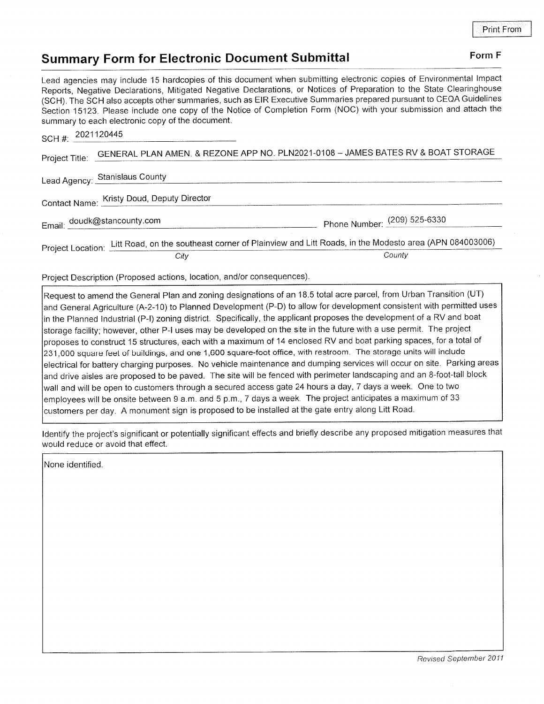## Summary Form for Electronic Document Submittal Form Form F

Lead agencies may include 15 hardcopies of this document when submitting electronic copies of Environmental lmpact Reports, Negative Declarations, Mitigated Negative Declarations, or Notices of Preparation to the State Clearinghouse (SCH). The SCH also accepts other summaries, such as EIR Executive Summaries prepared pursuant to CEQA Guidelines Section 15123. Please include one copy of the Notice of Completion Form (NOC) with your submission and attach the summary to each electronic copy of the document.

| SCH #: 2021120445                          |                                                                                                                       |                              |
|--------------------------------------------|-----------------------------------------------------------------------------------------------------------------------|------------------------------|
| Project Title:                             | GENERAL PLAN AMEN. & REZONE APP NO. PLN2021-0108 - JAMES BATES RV & BOAT STORAGE                                      |                              |
| Lead Agency: Stanislaus County             |                                                                                                                       |                              |
| Contact Name: Kristy Doud, Deputy Director |                                                                                                                       |                              |
|                                            | Email: doudk@stancounty.com                                                                                           | Phone Number: (209) 525-6330 |
|                                            | Project Location: Litt Road, on the southeast corner of Plainview and Litt Roads, in the Modesto area (APN 084003006) |                              |
|                                            | City                                                                                                                  | County                       |

Project Description (Proposed actions, location, and/or consequences)

Request to amend the General Plan and zoning designations of an 18.5 total acre parcel, from Urban Transition (UT) and General Agriculture (A-2-10) to Planned Development (P-D) to allow for development consistent with permitted uses in the Planned lndustrial (P-l) zoning district. Specifically, the applicant proposes the development of a RV and boat storage facility; however, other P-l uses may be developed on the site in the future with a use permit. The project proposes to construct 15 structures, each with a maximum of 14 enclosed RV and boat parking spaces, for a total of 231,000 square feet of buildings, and one 1,600 square-foot office, with restroom. The storage units will include electrical for battery charging purposes. No vehicle maintenance and dumping services will occur on site. Parking areas and drive aisles are proposed to be paved. The site will be fenced with perimeter landscaping and an 8-foot-tall block wall and will be open to customers through a secured access gate 24 hours a day, 7 days a week. One to two employees will be onsite between 9 a.m. and 5 p.m., 7 days a week. The project anticipates a maximum of <sup>33</sup> customers per day. A monument sign is proposed to be installed at the gate entry along Litt Road.

ldentify the project's significant or potentially significant effects and briefly describe any proposed mitigation measures that would reduce or avoid that effect.

None identified